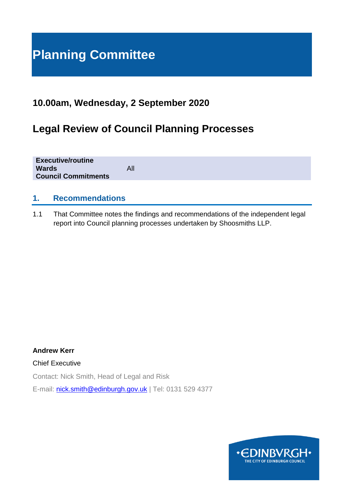# **Planning Committee**

## **10.00am, Wednesday, 2 September 2020**

## **Legal Review of Council Planning Processes**

| <b>Executive/routine</b><br><b>Wards</b><br><b>Council Commitments</b> | All |
|------------------------------------------------------------------------|-----|
|                                                                        |     |

### **1. Recommendations**

1.1 That Committee notes the findings and recommendations of the independent legal report into Council planning processes undertaken by Shoosmiths LLP.

**Andrew Kerr** Chief Executive Contact: Nick Smith, Head of Legal and Risk E-mail: [nick.smith@edinburgh.gov.uk](mailto:nick.smith@edinburgh.gov.uk) | Tel: 0131 529 4377

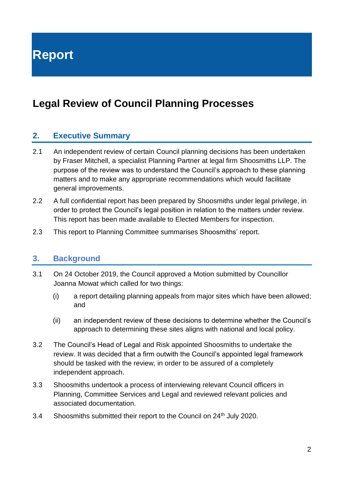**Report**

## **Legal Review of Council Planning Processes**

### **2. Executive Summary**

- 2.1 An independent review of certain Council planning decisions has been undertaken by Fraser Mitchell, a specialist Planning Partner at legal firm Shoosmiths LLP. The purpose of the review was to understand the Council's approach to these planning matters and to make any appropriate recommendations which would facilitate general improvements.
- 2.2 A full confidential report has been prepared by Shoosmiths under legal privilege, in order to protect the Council's legal position in relation to the matters under review. This report has been made available to Elected Members for inspection.
- 2.3 This report to Planning Committee summarises Shoosmiths' report.

#### **3. Background**

- 3.1 On 24 October 2019, the Council approved a Motion submitted by Councillor Joanna Mowat which called for two things:
	- (i) a report detailing planning appeals from major sites which have been allowed; and
	- (ii) an independent review of these decisions to determine whether the Council's approach to determining these sites aligns with national and local policy.
- 3.2 The Council's Head of Legal and Risk appointed Shoosmiths to undertake the review. It was decided that a firm outwith the Council's appointed legal framework should be tasked with the review, in order to be assured of a completely independent approach.
- 3.3 Shoosmiths undertook a process of interviewing relevant Council officers in Planning, Committee Services and Legal and reviewed relevant policies and associated documentation.
- 3.4 Shoosmiths submitted their report to the Council on 24<sup>th</sup> July 2020.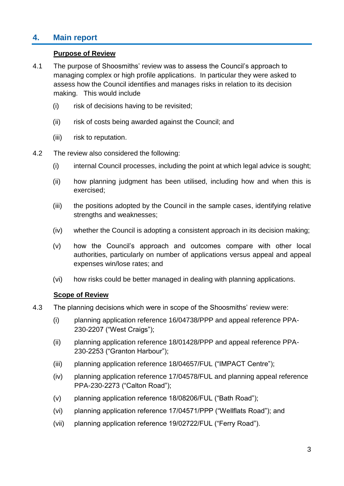## **4. Main report**

#### **Purpose of Review**

- 4.1 The purpose of Shoosmiths' review was to assess the Council's approach to managing complex or high profile applications. In particular they were asked to assess how the Council identifies and manages risks in relation to its decision making. This would include
	- (i) risk of decisions having to be revisited;
	- (ii) risk of costs being awarded against the Council; and
	- (iii) risk to reputation.
- 4.2 The review also considered the following:
	- (i) internal Council processes, including the point at which legal advice is sought;
	- (ii) how planning judgment has been utilised, including how and when this is exercised;
	- (iii) the positions adopted by the Council in the sample cases, identifying relative strengths and weaknesses;
	- (iv) whether the Council is adopting a consistent approach in its decision making;
	- (v) how the Council's approach and outcomes compare with other local authorities, particularly on number of applications versus appeal and appeal expenses win/lose rates; and
	- (vi) how risks could be better managed in dealing with planning applications.

#### **Scope of Review**

- 4.3 The planning decisions which were in scope of the Shoosmiths' review were:
	- (i) planning application reference 16/04738/PPP and appeal reference PPA-230-2207 ("West Craigs");
	- (ii) planning application reference 18/01428/PPP and appeal reference PPA-230-2253 ("Granton Harbour");
	- (iii) planning application reference 18/04657/FUL ("IMPACT Centre");
	- (iv) planning application reference 17/04578/FUL and planning appeal reference PPA-230-2273 ("Calton Road");
	- (v) planning application reference 18/08206/FUL ("Bath Road");
	- (vi) planning application reference 17/04571/PPP ("Wellflats Road"); and
	- (vii) planning application reference 19/02722/FUL ("Ferry Road").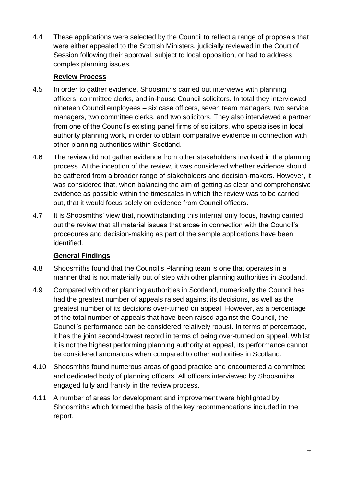4.4 These applications were selected by the Council to reflect a range of proposals that were either appealed to the Scottish Ministers, judicially reviewed in the Court of Session following their approval, subject to local opposition, or had to address complex planning issues.

#### **Review Process**

- 4.5 In order to gather evidence, Shoosmiths carried out interviews with planning officers, committee clerks, and in-house Council solicitors. In total they interviewed nineteen Council employees – six case officers, seven team managers, two service managers, two committee clerks, and two solicitors. They also interviewed a partner from one of the Council's existing panel firms of solicitors, who specialises in local authority planning work, in order to obtain comparative evidence in connection with other planning authorities within Scotland.
- 4.6 The review did not gather evidence from other stakeholders involved in the planning process. At the inception of the review, it was considered whether evidence should be gathered from a broader range of stakeholders and decision-makers. However, it was considered that, when balancing the aim of getting as clear and comprehensive evidence as possible within the timescales in which the review was to be carried out, that it would focus solely on evidence from Council officers.
- 4.7 It is Shoosmiths' view that, notwithstanding this internal only focus, having carried out the review that all material issues that arose in connection with the Council's procedures and decision-making as part of the sample applications have been identified.

#### **General Findings**

- 4.8 Shoosmiths found that the Council's Planning team is one that operates in a manner that is not materially out of step with other planning authorities in Scotland.
- 4.9 Compared with other planning authorities in Scotland, numerically the Council has had the greatest number of appeals raised against its decisions, as well as the greatest number of its decisions over-turned on appeal. However, as a percentage of the total number of appeals that have been raised against the Council, the Council's performance can be considered relatively robust. In terms of percentage, it has the joint second-lowest record in terms of being over-turned on appeal. Whilst it is not the highest performing planning authority at appeal, its performance cannot be considered anomalous when compared to other authorities in Scotland.
- 4.10 Shoosmiths found numerous areas of good practice and encountered a committed and dedicated body of planning officers. All officers interviewed by Shoosmiths engaged fully and frankly in the review process.
- 4.11 A number of areas for development and improvement were highlighted by Shoosmiths which formed the basis of the key recommendations included in the report.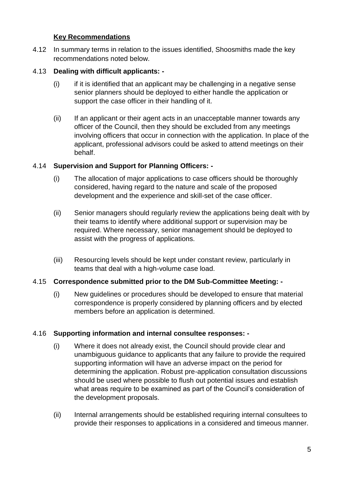#### **Key Recommendations**

4.12 In summary terms in relation to the issues identified, Shoosmiths made the key recommendations noted below.

#### 4.13 **Dealing with difficult applicants: -**

- $(i)$  if it is identified that an applicant may be challenging in a negative sense senior planners should be deployed to either handle the application or support the case officer in their handling of it.
- (ii) If an applicant or their agent acts in an unacceptable manner towards any officer of the Council, then they should be excluded from any meetings involving officers that occur in connection with the application. In place of the applicant, professional advisors could be asked to attend meetings on their behalf.

#### 4.14 **Supervision and Support for Planning Officers: -**

- (i) The allocation of major applications to case officers should be thoroughly considered, having regard to the nature and scale of the proposed development and the experience and skill-set of the case officer.
- (ii) Senior managers should regularly review the applications being dealt with by their teams to identify where additional support or supervision may be required. Where necessary, senior management should be deployed to assist with the progress of applications.
- (iii) Resourcing levels should be kept under constant review, particularly in teams that deal with a high-volume case load.

#### 4.15 **Correspondence submitted prior to the DM Sub-Committee Meeting: -**

(i) New guidelines or procedures should be developed to ensure that material correspondence is properly considered by planning officers and by elected members before an application is determined.

#### 4.16 **Supporting information and internal consultee responses: -**

- (i) Where it does not already exist, the Council should provide clear and unambiguous guidance to applicants that any failure to provide the required supporting information will have an adverse impact on the period for determining the application. Robust pre-application consultation discussions should be used where possible to flush out potential issues and establish what areas require to be examined as part of the Council's consideration of the development proposals.
- (ii) Internal arrangements should be established requiring internal consultees to provide their responses to applications in a considered and timeous manner.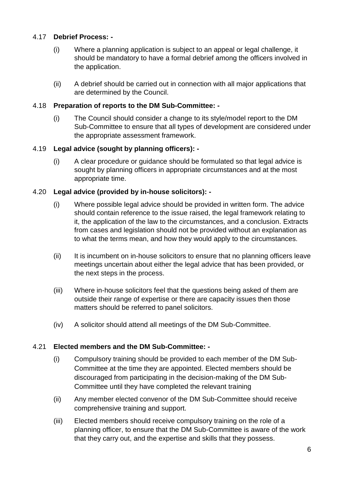#### 4.17 **Debrief Process: -**

- (i) Where a planning application is subject to an appeal or legal challenge, it should be mandatory to have a formal debrief among the officers involved in the application.
- (ii) A debrief should be carried out in connection with all major applications that are determined by the Council.

#### 4.18 **Preparation of reports to the DM Sub-Committee: -**

(i) The Council should consider a change to its style/model report to the DM Sub-Committee to ensure that all types of development are considered under the appropriate assessment framework.

#### 4.19 **Legal advice (sought by planning officers): -**

(i) A clear procedure or guidance should be formulated so that legal advice is sought by planning officers in appropriate circumstances and at the most appropriate time.

#### 4.20 **Legal advice (provided by in-house solicitors): -**

- (i) Where possible legal advice should be provided in written form. The advice should contain reference to the issue raised, the legal framework relating to it, the application of the law to the circumstances, and a conclusion. Extracts from cases and legislation should not be provided without an explanation as to what the terms mean, and how they would apply to the circumstances.
- (ii) It is incumbent on in-house solicitors to ensure that no planning officers leave meetings uncertain about either the legal advice that has been provided, or the next steps in the process.
- (iii) Where in-house solicitors feel that the questions being asked of them are outside their range of expertise or there are capacity issues then those matters should be referred to panel solicitors.
- (iv) A solicitor should attend all meetings of the DM Sub-Committee.

#### 4.21 **Elected members and the DM Sub-Committee: -**

- (i) Compulsory training should be provided to each member of the DM Sub-Committee at the time they are appointed. Elected members should be discouraged from participating in the decision-making of the DM Sub-Committee until they have completed the relevant training
- (ii) Any member elected convenor of the DM Sub-Committee should receive comprehensive training and support.
- (iii) Elected members should receive compulsory training on the role of a planning officer, to ensure that the DM Sub-Committee is aware of the work that they carry out, and the expertise and skills that they possess.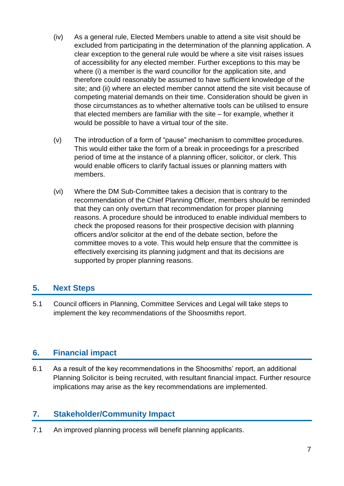- (iv) As a general rule, Elected Members unable to attend a site visit should be excluded from participating in the determination of the planning application. A clear exception to the general rule would be where a site visit raises issues of accessibility for any elected member. Further exceptions to this may be where (i) a member is the ward councillor for the application site, and therefore could reasonably be assumed to have sufficient knowledge of the site; and (ii) where an elected member cannot attend the site visit because of competing material demands on their time. Consideration should be given in those circumstances as to whether alternative tools can be utilised to ensure that elected members are familiar with the site – for example, whether it would be possible to have a virtual tour of the site.
- (v) The introduction of a form of "pause" mechanism to committee procedures. This would either take the form of a break in proceedings for a prescribed period of time at the instance of a planning officer, solicitor, or clerk. This would enable officers to clarify factual issues or planning matters with members.
- (vi) Where the DM Sub-Committee takes a decision that is contrary to the recommendation of the Chief Planning Officer, members should be reminded that they can only overturn that recommendation for proper planning reasons. A procedure should be introduced to enable individual members to check the proposed reasons for their prospective decision with planning officers and/or solicitor at the end of the debate section, before the committee moves to a vote. This would help ensure that the committee is effectively exercising its planning judgment and that its decisions are supported by proper planning reasons.

### **5. Next Steps**

5.1 Council officers in Planning, Committee Services and Legal will take steps to implement the key recommendations of the Shoosmiths report.

### **6. Financial impact**

6.1 As a result of the key recommendations in the Shoosmiths' report, an additional Planning Solicitor is being recruited, with resultant financial impact. Further resource implications may arise as the key recommendations are implemented.

### **7. Stakeholder/Community Impact**

7.1 An improved planning process will benefit planning applicants.